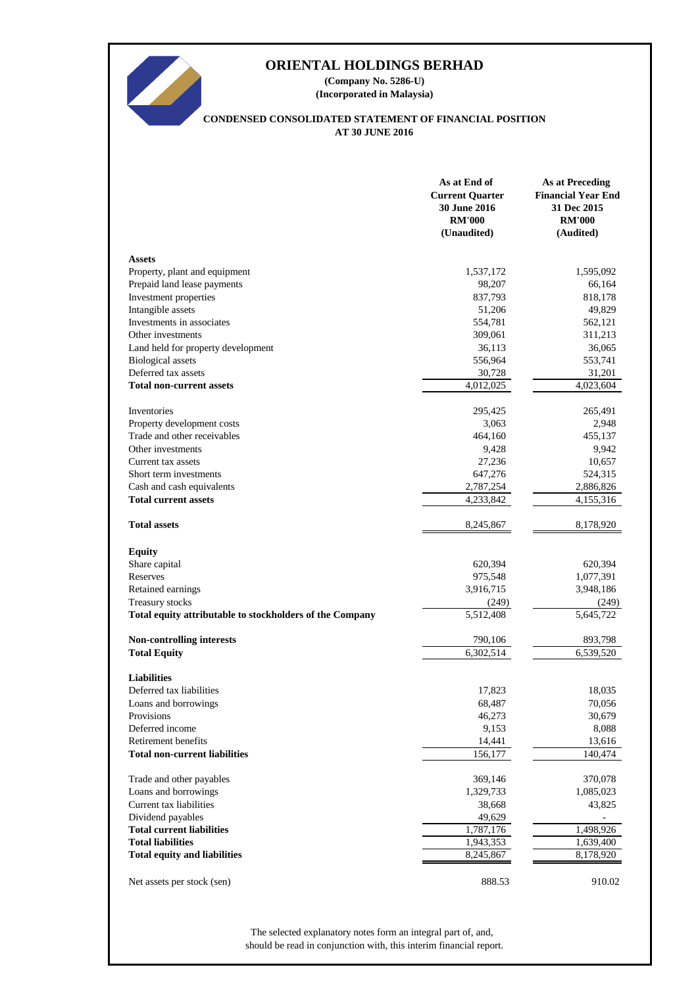

# **ORIENTAL HOLDINGS BERHAD**

**(Company No. 5286-U) (Incorporated in Malaysia)**

# **CONDENSED CONSOLIDATED STATEMENT OF FINANCIAL POSITION AT 30 JUNE 2016**

|                                                          | As at End of<br><b>Current Quarter</b><br>30 June 2016<br><b>RM'000</b><br>(Unaudited) | <b>As at Preceding</b><br><b>Financial Year End</b><br>31 Dec 2015<br><b>RM'000</b><br>(Audited) |
|----------------------------------------------------------|----------------------------------------------------------------------------------------|--------------------------------------------------------------------------------------------------|
| <b>Assets</b>                                            |                                                                                        |                                                                                                  |
| Property, plant and equipment                            | 1,537,172                                                                              | 1,595,092                                                                                        |
| Prepaid land lease payments                              | 98,207                                                                                 | 66,164                                                                                           |
| Investment properties                                    | 837,793                                                                                | 818,178                                                                                          |
| Intangible assets                                        | 51,206                                                                                 | 49,829                                                                                           |
| Investments in associates                                | 554,781                                                                                | 562,121                                                                                          |
| Other investments                                        | 309,061                                                                                | 311,213                                                                                          |
| Land held for property development                       | 36,113                                                                                 | 36,065                                                                                           |
| <b>Biological</b> assets                                 | 556,964                                                                                | 553,741                                                                                          |
| Deferred tax assets                                      | 30,728                                                                                 | 31,201                                                                                           |
| <b>Total non-current assets</b>                          | 4,012,025                                                                              | 4,023,604                                                                                        |
| <b>Inventories</b>                                       | 295,425                                                                                | 265,491                                                                                          |
| Property development costs                               | 3,063                                                                                  | 2,948                                                                                            |
| Trade and other receivables                              | 464,160                                                                                | 455,137                                                                                          |
| Other investments                                        | 9,428                                                                                  | 9,942                                                                                            |
| Current tax assets                                       | 27,236                                                                                 | 10,657                                                                                           |
| Short term investments                                   | 647,276                                                                                | 524,315                                                                                          |
| Cash and cash equivalents                                | 2,787,254                                                                              | 2,886,826                                                                                        |
| <b>Total current assets</b>                              | 4,233,842                                                                              | 4,155,316                                                                                        |
| <b>Total assets</b>                                      | 8,245,867                                                                              | 8,178,920                                                                                        |
| <b>Equity</b>                                            |                                                                                        |                                                                                                  |
| Share capital                                            | 620,394                                                                                | 620,394                                                                                          |
| Reserves                                                 | 975,548                                                                                | 1,077,391                                                                                        |
| Retained earnings                                        | 3,916,715                                                                              | 3,948,186                                                                                        |
| Treasury stocks                                          | (249)                                                                                  | (249)                                                                                            |
| Total equity attributable to stockholders of the Company | 5,512,408                                                                              | 5,645,722                                                                                        |
| Non-controlling interests                                | 790,106                                                                                | 893,798                                                                                          |
| <b>Total Equity</b>                                      | 6,302,514                                                                              | 6,539,520                                                                                        |
|                                                          |                                                                                        |                                                                                                  |
| <b>Liabilities</b><br>Deferred tax liabilities           | 17,823                                                                                 | 18,035                                                                                           |
| Loans and borrowings                                     | 68,487                                                                                 | 70,056                                                                                           |
| Provisions                                               | 46,273                                                                                 | 30,679                                                                                           |
| Deferred income                                          | 9,153                                                                                  | 8,088                                                                                            |
| Retirement benefits                                      | 14,441                                                                                 | 13,616                                                                                           |
| <b>Total non-current liabilities</b>                     | 156,177                                                                                | 140,474                                                                                          |
| Trade and other payables                                 | 369,146                                                                                | 370,078                                                                                          |
| Loans and borrowings                                     | 1,329,733                                                                              | 1,085,023                                                                                        |
| Current tax liabilities                                  | 38,668                                                                                 | 43,825                                                                                           |
| Dividend payables                                        | 49,629                                                                                 |                                                                                                  |
| <b>Total current liabilities</b>                         | 1,787,176                                                                              | 1,498,926                                                                                        |
| <b>Total liabilities</b>                                 | 1,943,353                                                                              | 1,639,400                                                                                        |
| <b>Total equity and liabilities</b>                      | 8,245,867                                                                              | 8,178,920                                                                                        |
| Net assets per stock (sen)                               | 888.53                                                                                 | 910.02                                                                                           |

should be read in conjunction with, this interim financial report. The selected explanatory notes form an integral part of, and,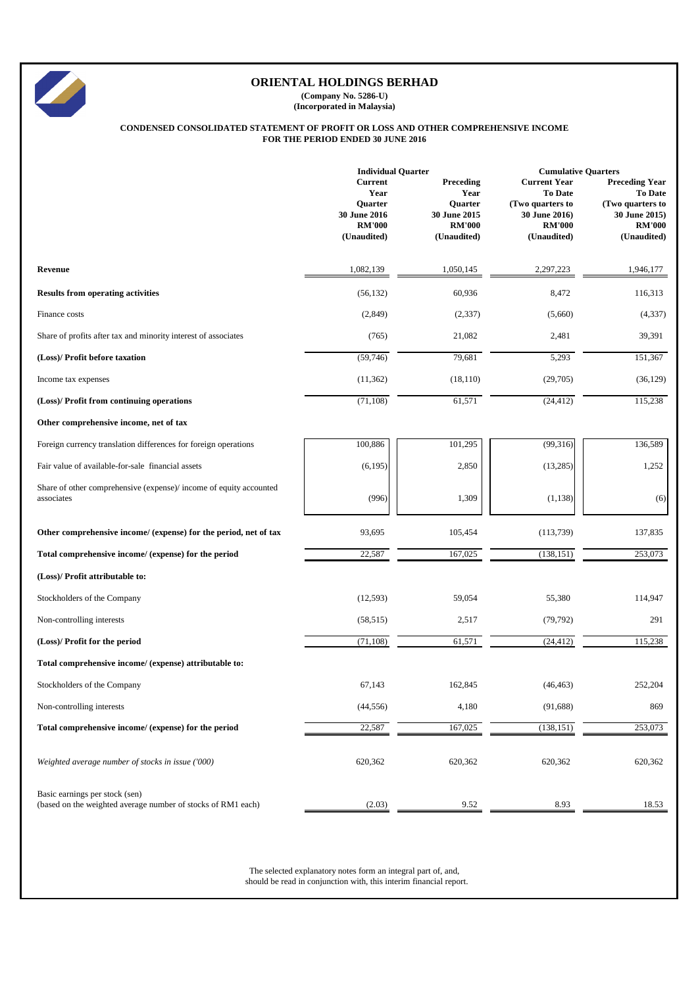|                                                                                  | <b>Individual Quarter</b>                                                         |                                                                              | <b>Cumulative Quarters</b>                                                                                 |                                                                                                       |  |
|----------------------------------------------------------------------------------|-----------------------------------------------------------------------------------|------------------------------------------------------------------------------|------------------------------------------------------------------------------------------------------------|-------------------------------------------------------------------------------------------------------|--|
|                                                                                  | <b>Current</b><br>Year<br>Quarter<br>30 June 2016<br><b>RM'000</b><br>(Unaudited) | Preceding<br>Year<br>Quarter<br>30 June 2015<br><b>RM'000</b><br>(Unaudited) | <b>Current Year</b><br><b>To Date</b><br>(Two quarters to<br>30 June 2016)<br><b>RM'000</b><br>(Unaudited) | <b>Preceding Year</b><br>To Date<br>(Two quarters to<br>30 June 2015)<br><b>RM'000</b><br>(Unaudited) |  |
| Revenue                                                                          | 1,082,139                                                                         | 1,050,145                                                                    | 2,297,223                                                                                                  | 1,946,177                                                                                             |  |
| <b>Results from operating activities</b>                                         | (56, 132)                                                                         | 60,936                                                                       | 8,472                                                                                                      | 116,313                                                                                               |  |
| Finance costs                                                                    | (2,849)                                                                           | (2,337)                                                                      | (5,660)                                                                                                    | (4, 337)                                                                                              |  |
| Share of profits after tax and minority interest of associates                   | (765)                                                                             | 21,082                                                                       | 2,481                                                                                                      | 39,391                                                                                                |  |
| (Loss)/ Profit before taxation                                                   | (59,746)                                                                          | 79,681                                                                       | 5,293                                                                                                      | 151,367                                                                                               |  |
| Income tax expenses                                                              | (11, 362)                                                                         | (18, 110)                                                                    | (29,705)                                                                                                   | (36, 129)                                                                                             |  |
| (Loss)/ Profit from continuing operations                                        | (71, 108)                                                                         | 61,571                                                                       | (24, 412)                                                                                                  | 115,238                                                                                               |  |
| Other comprehensive income, net of tax                                           |                                                                                   |                                                                              |                                                                                                            |                                                                                                       |  |
| Foreign currency translation differences for foreign operations                  | 100,886                                                                           | 101,295                                                                      | (99,316)                                                                                                   | 136,589                                                                                               |  |
| Fair value of available-for-sale financial assets                                | (6,195)                                                                           | 2,850                                                                        | (13,285)                                                                                                   | 1,252                                                                                                 |  |
| Share of other comprehensive (expense)/ income of equity accounted<br>associates | (996)                                                                             | 1,309                                                                        | (1,138)                                                                                                    | (6)                                                                                                   |  |
| Other comprehensive income/ (expense) for the period, net of tax                 | 93,695                                                                            | 105,454                                                                      | (113, 739)                                                                                                 | 137,835                                                                                               |  |
| Total comprehensive income/ (expense) for the period                             | 22,587                                                                            | 167,025                                                                      | (138, 151)                                                                                                 | 253,073                                                                                               |  |
| (Loss)/ Profit attributable to:                                                  |                                                                                   |                                                                              |                                                                                                            |                                                                                                       |  |
| Stockholders of the Company                                                      | (12,593)                                                                          | 59,054                                                                       | 55,380                                                                                                     | 114,947                                                                                               |  |
| Non-controlling interests                                                        | (58, 515)                                                                         | 2,517                                                                        | (79, 792)                                                                                                  | 291                                                                                                   |  |
| (Loss)/ Profit for the period                                                    | (71, 108)                                                                         | 61,571                                                                       | (24, 412)                                                                                                  | 115,238                                                                                               |  |
| Total comprehensive income/ (expense) attributable to:                           |                                                                                   |                                                                              |                                                                                                            |                                                                                                       |  |
| Stockholders of the Company                                                      | 67,143                                                                            | 162,845                                                                      | (46, 463)                                                                                                  | 252,204                                                                                               |  |
| Non-controlling interests                                                        | (44, 556)                                                                         | 4,180                                                                        | (91, 688)                                                                                                  | 869                                                                                                   |  |
| Total comprehensive income/ (expense) for the period                             | 22,587                                                                            | 167,025                                                                      | (138, 151)                                                                                                 | 253,073                                                                                               |  |
| Weighted average number of stocks in issue ('000)                                | 620,362                                                                           | 620,362                                                                      | 620,362                                                                                                    | 620,362                                                                                               |  |





# **ORIENTAL HOLDINGS BERHAD**

**(Company No. 5286-U) (Incorporated in Malaysia)**

## **CONDENSED CONSOLIDATED STATEMENT OF PROFIT OR LOSS AND OTHER COMPREHENSIVE INCOME FOR THE PERIOD ENDED 30 JUNE 2016**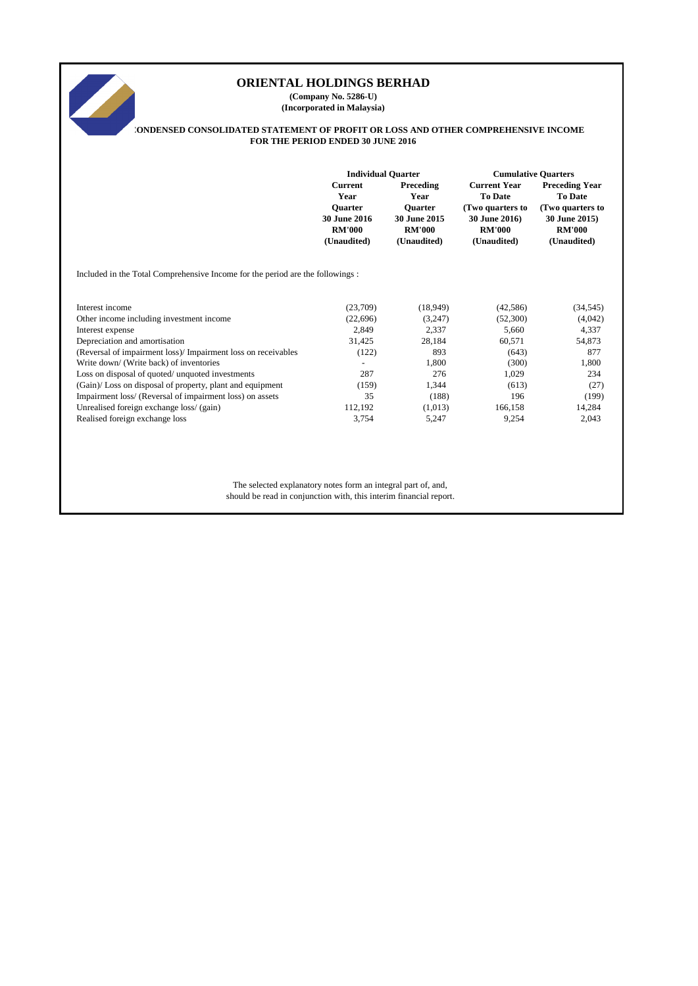# **ORIENTAL HOLDINGS BERHAD SARA (Company No. 5286-U) (Incorporated in Malaysia) CONDENSED CONSOLIDATED STATEMENT OF PROFIT OR LOSS AND OTHER COMPREHENSIVE INCOME FOR THE PERIOD ENDED 30 JUNE 2016 Individual Quarter Cumulative QuartersCurrent Preceding Current Year Preceding Year Year Year To Date To Date Quarter Quarter (Two quarters to (Two quarters to 30 June 2016 30 June 2015 30 June 2016) 30 June 2015) RM'000 RM'000 RM'000 RM'000 (Unaudited) (Unaudited) (Unaudited) (Unaudited)** Included in the Total Comprehensive Income for the period are the followings : Interest income (23,709) (18,949) (42,586) (34,545) Other income including investment income (22,696) (3,247) (52,300) (4,042) Interest expense 2,849 2,337 5,660 4,337 Depreciation and amortisation 31,425 28,184 60,571 54,873 (Reversal of impairment loss)/ Impairment loss on receivables (122) 893 (643) 877 Write down/ (Write back) of inventories and the set of the set of the set of the set of the set of the set of the set of the set of the set of the set of the set of the set of the set of the set of the set of the set of th Loss on disposal of quoted/ unquoted investments 287 276 276 1,029 234 (Gain)/ Loss on disposal of property, plant and equipment (159) 1,344 (613) (27) Impairment loss/ (Reversal of impairment loss) on assets 35 (188) 196 (199)

The selected explanatory notes form an integral part of, and,

Unrealised foreign exchange loss/ (gain) 112,192 (1,013) 166,158 14,284 Realised foreign exchange loss 3,754 5,247 9,254 2,043

should be read in conjunction with, this interim financial report.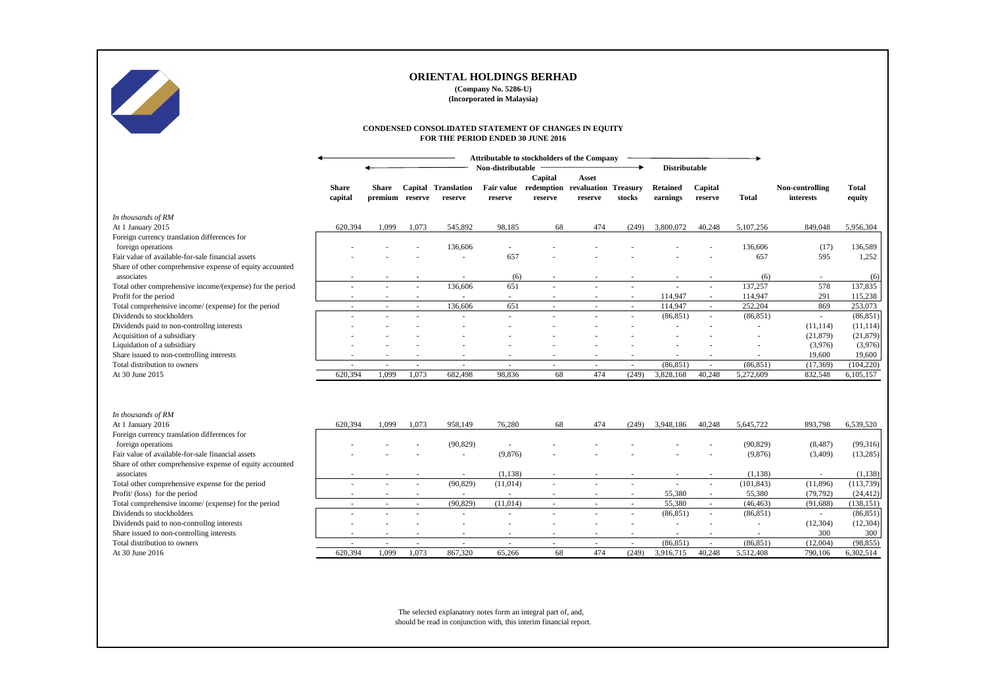|                                                                         |                         |                                 |                          | CONDENSED CONSOLIDATED STATEMENT OF CHANGES IN EQUITY<br>FOR THE PERIOD ENDED 30 JUNE 2016 |                                             |                       |                                 |                          |                             |                          |              |                              |                        |
|-------------------------------------------------------------------------|-------------------------|---------------------------------|--------------------------|--------------------------------------------------------------------------------------------|---------------------------------------------|-----------------------|---------------------------------|--------------------------|-----------------------------|--------------------------|--------------|------------------------------|------------------------|
|                                                                         |                         |                                 |                          |                                                                                            | Attributable to stockholders of the Company |                       |                                 |                          |                             |                          |              |                              |                        |
|                                                                         |                         |                                 |                          |                                                                                            | Non-distributable                           | Capital               | Asset                           |                          | <b>Distributable</b>        |                          |              |                              |                        |
|                                                                         | <b>Share</b><br>capital | <b>Share</b><br>premium reserve |                          | <b>Capital Translation</b><br>reserve                                                      | <b>Fair value</b><br>reserve                | redemption<br>reserve | revaluation Treasury<br>reserve | stocks                   | <b>Retained</b><br>earnings | Capital<br>reserve       | <b>Total</b> | Non-controlling<br>interests | <b>Total</b><br>equity |
| In thousands of RM                                                      |                         |                                 |                          |                                                                                            |                                             |                       |                                 |                          |                             |                          |              |                              |                        |
| At 1 January 2015                                                       | 620,394                 | 1,099                           | 1,073                    | 545,892                                                                                    | 98,185                                      | 68                    | 474                             | (249)                    | 3,800,072                   | 40,248                   | 5,107,256    | 849,048                      | 5,956,304              |
| Foreign currency translation differences for                            |                         |                                 |                          |                                                                                            |                                             |                       |                                 |                          |                             |                          |              |                              |                        |
| foreign operations                                                      |                         |                                 |                          | 136,606                                                                                    |                                             |                       |                                 |                          |                             |                          | 136,606      | (17)                         | 136,589                |
| Fair value of available-for-sale financial assets                       |                         |                                 |                          |                                                                                            | 657                                         |                       |                                 |                          |                             |                          | 657          | 595                          | 1,252                  |
| Share of other comprehensive expense of equity accounted                |                         |                                 |                          |                                                                                            |                                             |                       |                                 |                          |                             |                          |              |                              |                        |
| associates                                                              |                         |                                 |                          |                                                                                            | (6)                                         |                       |                                 |                          |                             |                          | (6)          |                              | (6)                    |
| Total other comprehensive income/(expense) for the period               |                         |                                 | $\sim$                   | 136,606                                                                                    | 651                                         |                       |                                 |                          |                             | $\blacksquare$           | 137,257      | 578                          | 137,835                |
| Profit for the period                                                   |                         |                                 |                          |                                                                                            |                                             |                       |                                 | $\sim$                   | 114,947                     | $\sim$                   | 114,947      | 291                          | 115,238                |
| Total comprehensive income/ (expense) for the period                    |                         |                                 |                          | 136,606                                                                                    | 651                                         |                       |                                 | $\sim$                   | 114,947                     | $\sim$                   | 252,204      | 869                          | 253,073                |
| Dividends to stockholders<br>Dividends paid to non-controllng interests |                         |                                 |                          |                                                                                            |                                             |                       |                                 |                          | (86, 851)                   | $\sim$                   | (86, 851)    |                              | (86, 851)<br>(11, 114) |
| Acquisition of a subsidiary                                             |                         |                                 |                          |                                                                                            |                                             |                       |                                 |                          |                             |                          |              | (11, 114)<br>(21, 879)       | (21, 879)              |
| Liquidation of a subsidiary                                             |                         |                                 |                          |                                                                                            |                                             |                       |                                 |                          |                             |                          |              | (3,976)                      | (3,976)                |
| Share issued to non-controlling interests                               |                         |                                 |                          |                                                                                            |                                             |                       | $\overline{\phantom{a}}$        |                          |                             | $\overline{\phantom{a}}$ |              | 19,600                       | 19,600                 |
| Total distribution to owners                                            |                         |                                 | $\overline{\phantom{a}}$ | $\sim$                                                                                     | $\sim$                                      |                       | $\overline{\phantom{a}}$        | $\sim$                   | (86, 851)                   | $\sim$                   | (86, 851)    | (17,369)                     | (104, 220)             |
| At 30 June 2015                                                         | 620,394                 | 1,099                           | 1,073                    | 682,498                                                                                    | 98,836                                      | 68                    | 474                             | (249)                    | 3,828,168                   | 40,248                   | 5,272,609    | 832,548                      | 6,105,157              |
|                                                                         |                         |                                 |                          |                                                                                            |                                             |                       |                                 |                          |                             |                          |              |                              |                        |
| In thousands of RM<br>At 1 January 2016                                 | 620,394                 | 1,099                           | 1,073                    | 958,149                                                                                    | 76,280                                      | 68                    | 474                             | (249)                    | 3,948,186                   | 40,248                   | 5,645,722    | 893,798                      | 6,539,520              |
| Foreign currency translation differences for                            |                         |                                 |                          |                                                                                            |                                             |                       |                                 |                          |                             |                          |              |                              |                        |
| foreign operations                                                      |                         |                                 |                          | (90, 829)                                                                                  |                                             |                       |                                 |                          |                             |                          | (90, 829)    | (8, 487)                     | (99,316)               |
| Fair value of available-for-sale financial assets                       |                         |                                 |                          |                                                                                            | (9,876)                                     |                       |                                 |                          |                             |                          | (9,876)      | (3,409)                      | (13,285)               |
| Share of other comprehensive expense of equity accounted                |                         |                                 |                          |                                                                                            |                                             |                       |                                 |                          |                             |                          |              |                              |                        |
| associates                                                              |                         |                                 |                          |                                                                                            | (1,138)                                     |                       |                                 |                          |                             |                          | (1,138)      |                              | (1, 138)               |
| Total other comprehensive expense for the period                        |                         |                                 | $\sim$                   | (90, 829)                                                                                  | (11, 014)                                   |                       |                                 |                          | $\blacksquare$              | $\overline{\phantom{a}}$ | (101, 843)   | (11,896)                     | (113, 739)             |
| Profit/(loss) for the period                                            |                         |                                 | $\overline{\phantom{a}}$ | $\sim$                                                                                     | $\sim$                                      |                       | $\overline{\phantom{a}}$        | $\sim$                   | 55,380                      | $\sim$                   | 55,380       | (79, 792)                    | (24, 412)              |
| Total comprehensive income/ (expense) for the period                    |                         | $\sim$                          | $\sim$                   | (90, 829)                                                                                  | (11,014)                                    | $\sim$                | $\sim$                          | $\sim$                   | 55,380                      | $\sim$                   | (46, 463)    | (91, 688)                    | (138, 151)             |
| Dividends to stockholders                                               |                         |                                 | $\blacksquare$           |                                                                                            |                                             |                       |                                 | $\overline{\phantom{a}}$ | (86, 851)                   | $\sim$                   | (86, 851)    | $\sim$                       | (86, 851)              |
| Dividends paid to non-controllng interests                              |                         |                                 |                          |                                                                                            |                                             |                       |                                 |                          |                             |                          |              | (12,304)                     | (12, 304)              |
| Share issued to non-controlling interests                               |                         |                                 |                          |                                                                                            |                                             |                       |                                 |                          |                             |                          |              | 300                          | 300                    |
| Total distribution to owners                                            |                         |                                 | $\sim$                   | $\sim$                                                                                     | $\overline{\phantom{0}}$                    |                       |                                 |                          | (86, 851)                   | $\sim$                   | (86, 851)    | (12,004)                     | (98, 855)              |
| At 30 June 2016                                                         | 620,394                 | 1,099                           | 1,073                    | 867,320                                                                                    | 65,266                                      | 68                    | 474                             | (249)                    | 3,916,715                   | 40,248                   | 5,512,408    | 790,106                      | 6,302,514              |

The selected explanatory notes form an integral part of, and, should be read in conjunction with, this interim financial report.



# **ORIENTAL HOLDINGS BERHAD**

**(Company No. 5286-U) (Incorporated in Malaysia)**

#### **CONDENSED CONSOLIDATED STATEMENT OF CHANGES IN EQUITY FOR THE PERIOD ENDED 30 JUNE 2016**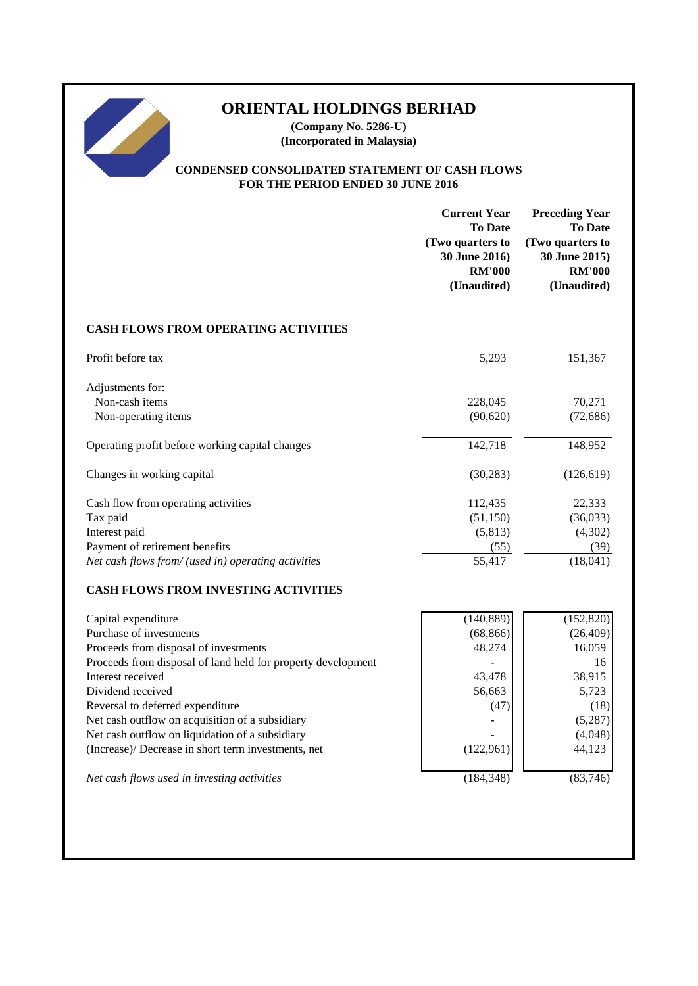# **ORIENTAL HOLDINGS BERHAD**

**(Company No. 5286-U) (Incorporated in Malaysia)**

# **CONDENSED CONSOLIDATED STATEMENT OF CASH FLOWS FOR THE PERIOD ENDED 30 JUNE 2016**

|                                                              | <b>Current Year</b><br><b>To Date</b><br>(Two quarters to<br>30 June 2016)<br><b>RM'000</b><br>(Unaudited) | <b>Preceding Year</b><br><b>To Date</b><br>(Two quarters to<br>30 June 2015)<br><b>RM'000</b><br>(Unaudited) |
|--------------------------------------------------------------|------------------------------------------------------------------------------------------------------------|--------------------------------------------------------------------------------------------------------------|
| <b>CASH FLOWS FROM OPERATING ACTIVITIES</b>                  |                                                                                                            |                                                                                                              |
| Profit before tax                                            | 5,293                                                                                                      | 151,367                                                                                                      |
| Adjustments for:                                             |                                                                                                            |                                                                                                              |
| Non-cash items                                               | 228,045                                                                                                    | 70,271                                                                                                       |
| Non-operating items                                          | (90, 620)                                                                                                  | (72, 686)                                                                                                    |
| Operating profit before working capital changes              | 142,718                                                                                                    | 148,952                                                                                                      |
| Changes in working capital                                   | (30, 283)                                                                                                  | (126, 619)                                                                                                   |
| Cash flow from operating activities                          | 112,435                                                                                                    | 22,333                                                                                                       |
| Tax paid                                                     | (51,150)                                                                                                   | (36,033)                                                                                                     |
| Interest paid                                                | (5, 813)                                                                                                   | (4,302)                                                                                                      |
| Payment of retirement benefits                               | (55)                                                                                                       | (39)                                                                                                         |
| Net cash flows from/ (used in) operating activities          | 55,417                                                                                                     | (18,041)                                                                                                     |
| <b>CASH FLOWS FROM INVESTING ACTIVITIES</b>                  |                                                                                                            |                                                                                                              |
| Capital expenditure                                          | (140, 889)                                                                                                 | (152, 820)                                                                                                   |
| Purchase of investments                                      | (68, 866)                                                                                                  | (26, 409)                                                                                                    |
| Proceeds from disposal of investments                        | 48,274                                                                                                     | 16,059                                                                                                       |
| Proceeds from disposal of land held for property development |                                                                                                            | 16                                                                                                           |
| Interest received                                            | 43,478                                                                                                     | 38,915                                                                                                       |
| Dividend received                                            | 56,663                                                                                                     | 5,723                                                                                                        |
| Reversal to deferred expenditure                             | (47)                                                                                                       | (18)                                                                                                         |
| Net cash outflow on acquisition of a subsidiary              |                                                                                                            | (5,287)                                                                                                      |
| Net cash outflow on liquidation of a subsidiary              |                                                                                                            | (4,048)                                                                                                      |
| (Increase)/ Decrease in short term investments, net          | (122, 961)                                                                                                 | 44,123                                                                                                       |
| Net cash flows used in investing activities                  | (184, 348)                                                                                                 | (83,746)                                                                                                     |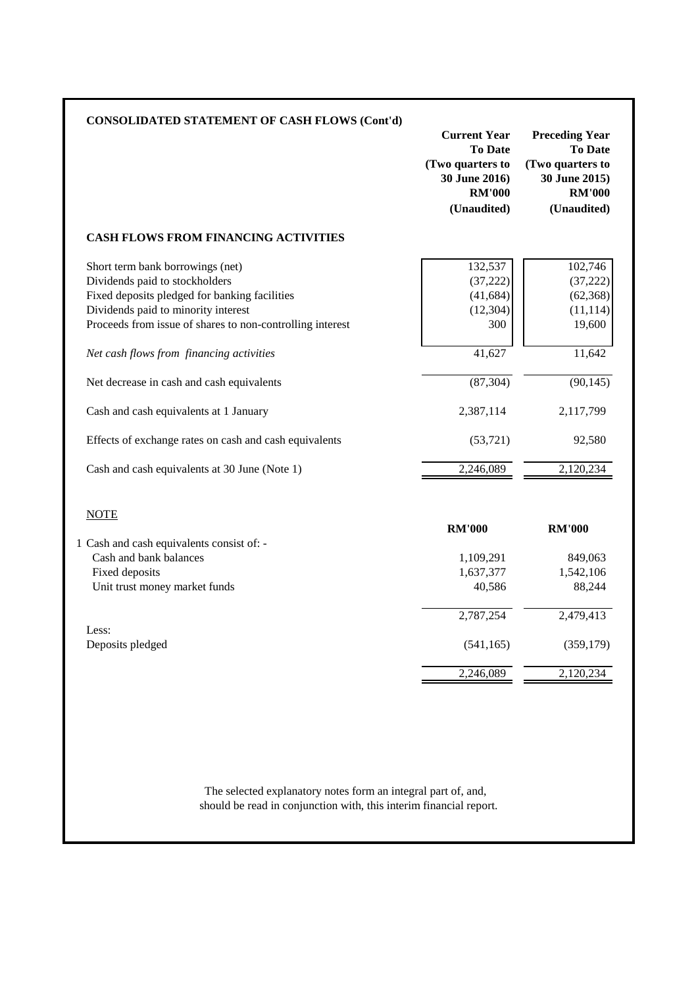| <b>CONSOLIDATED STATEMENT OF CASH FLOWS (Cont'd)</b>                                                                                                                                                                    | <b>Current Year</b><br><b>To Date</b><br>(Two quarters to<br>30 June 2016)<br><b>RM'000</b><br>(Unaudited) | <b>Preceding Year</b><br><b>To Date</b><br>(Two quarters to<br>30 June 2015)<br><b>RM'000</b><br>(Unaudited) |
|-------------------------------------------------------------------------------------------------------------------------------------------------------------------------------------------------------------------------|------------------------------------------------------------------------------------------------------------|--------------------------------------------------------------------------------------------------------------|
| <b>CASH FLOWS FROM FINANCING ACTIVITIES</b>                                                                                                                                                                             |                                                                                                            |                                                                                                              |
| Short term bank borrowings (net)<br>Dividends paid to stockholders<br>Fixed deposits pledged for banking facilities<br>Dividends paid to minority interest<br>Proceeds from issue of shares to non-controlling interest | 132,537<br>(37, 222)<br>(41, 684)<br>(12, 304)<br>300                                                      | 102,746<br>(37, 222)<br>(62, 368)<br>(11, 114)<br>19,600                                                     |
| Net cash flows from financing activities<br>Net decrease in cash and cash equivalents                                                                                                                                   | 41,627<br>(87, 304)                                                                                        | 11,642<br>(90, 145)                                                                                          |
| Cash and cash equivalents at 1 January                                                                                                                                                                                  | 2,387,114                                                                                                  | 2,117,799                                                                                                    |
| Effects of exchange rates on cash and cash equivalents                                                                                                                                                                  | (53, 721)                                                                                                  | 92,580                                                                                                       |
| Cash and cash equivalents at 30 June (Note 1)                                                                                                                                                                           | 2,246,089                                                                                                  | 2,120,234                                                                                                    |
| <b>NOTE</b>                                                                                                                                                                                                             | <b>RM'000</b>                                                                                              | <b>RM'000</b>                                                                                                |
| 1 Cash and cash equivalents consist of: -<br>Cash and bank balances                                                                                                                                                     | 1,109,291                                                                                                  | 849,063                                                                                                      |
| Fixed deposits                                                                                                                                                                                                          | 1,637,377                                                                                                  | 1,542,106                                                                                                    |
| Unit trust money market funds                                                                                                                                                                                           | 40,586                                                                                                     | 88,244                                                                                                       |
|                                                                                                                                                                                                                         | 2,787,254                                                                                                  | 2,479,413                                                                                                    |
| Less:<br>Deposits pledged                                                                                                                                                                                               | (541, 165)                                                                                                 | (359, 179)                                                                                                   |
|                                                                                                                                                                                                                         | 2,246,089                                                                                                  | 2,120,234                                                                                                    |

should be read in conjunction with, this interim financial report. The selected explanatory notes form an integral part of, and,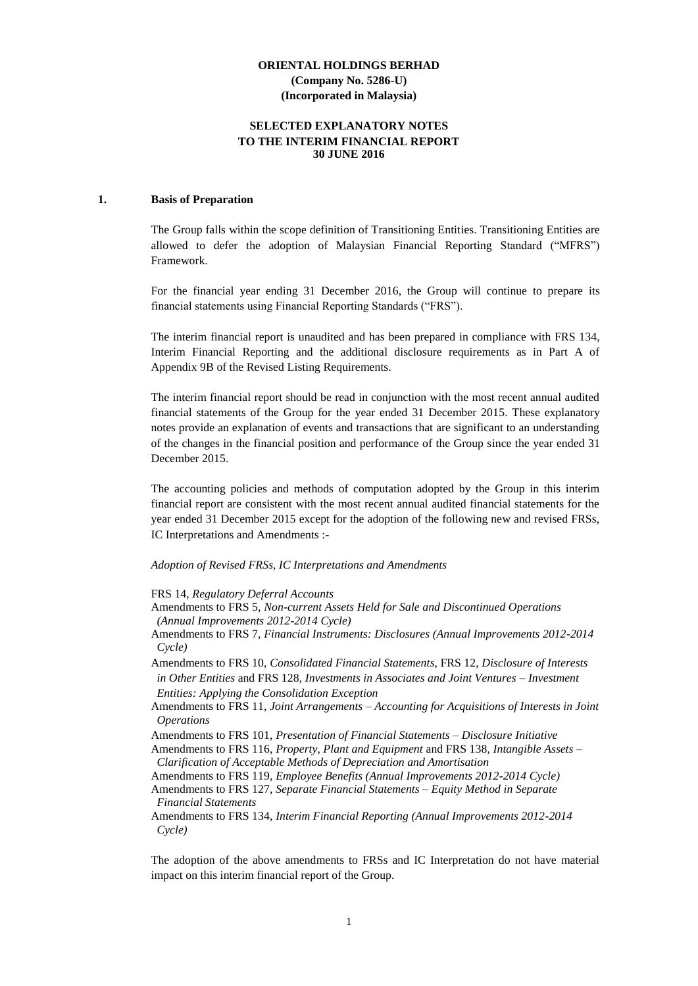#### **SELECTED EXPLANATORY NOTES TO THE INTERIM FINANCIAL REPORT 30 JUNE 2016**

#### **1. Basis of Preparation**

The Group falls within the scope definition of Transitioning Entities. Transitioning Entities are allowed to defer the adoption of Malaysian Financial Reporting Standard ("MFRS") Framework.

For the financial year ending 31 December 2016, the Group will continue to prepare its financial statements using Financial Reporting Standards ("FRS").

The interim financial report is unaudited and has been prepared in compliance with FRS 134, Interim Financial Reporting and the additional disclosure requirements as in Part A of Appendix 9B of the Revised Listing Requirements.

The interim financial report should be read in conjunction with the most recent annual audited financial statements of the Group for the year ended 31 December 2015. These explanatory notes provide an explanation of events and transactions that are significant to an understanding of the changes in the financial position and performance of the Group since the year ended 31 December 2015.

The accounting policies and methods of computation adopted by the Group in this interim financial report are consistent with the most recent annual audited financial statements for the year ended 31 December 2015 except for the adoption of the following new and revised FRSs, IC Interpretations and Amendments :-

#### *Adoption of Revised FRSs, IC Interpretations and Amendments*

FRS 14, *Regulatory Deferral Accounts*

- Amendments to FRS 5, *Non-current Assets Held for Sale and Discontinued Operations (Annual Improvements 2012-2014 Cycle)*
- Amendments to FRS 7, *Financial Instruments: Disclosures (Annual Improvements 2012-2014 Cycle)*
- Amendments to FRS 10, *Consolidated Financial Statements*, FRS 12, *Disclosure of Interests in Other Entities* and FRS 128, *Investments in Associates and Joint Ventures – Investment Entities: Applying the Consolidation Exception*
- Amendments to FRS 11, *Joint Arrangements – Accounting for Acquisitions of Interests in Joint Operations*
- Amendments to FRS 101, *Presentation of Financial Statements – Disclosure Initiative*

Amendments to FRS 116, *Property, Plant and Equipment* and FRS 138, *Intangible Assets – Clarification of Acceptable Methods of Depreciation and Amortisation*

Amendments to FRS 119, *Employee Benefits (Annual Improvements 2012-2014 Cycle)*

Amendments to FRS 127, *Separate Financial Statements – Equity Method in Separate Financial Statements*

Amendments to FRS 134, *Interim Financial Reporting (Annual Improvements 2012-2014 Cycle)*

The adoption of the above amendments to FRSs and IC Interpretation do not have material impact on this interim financial report of the Group.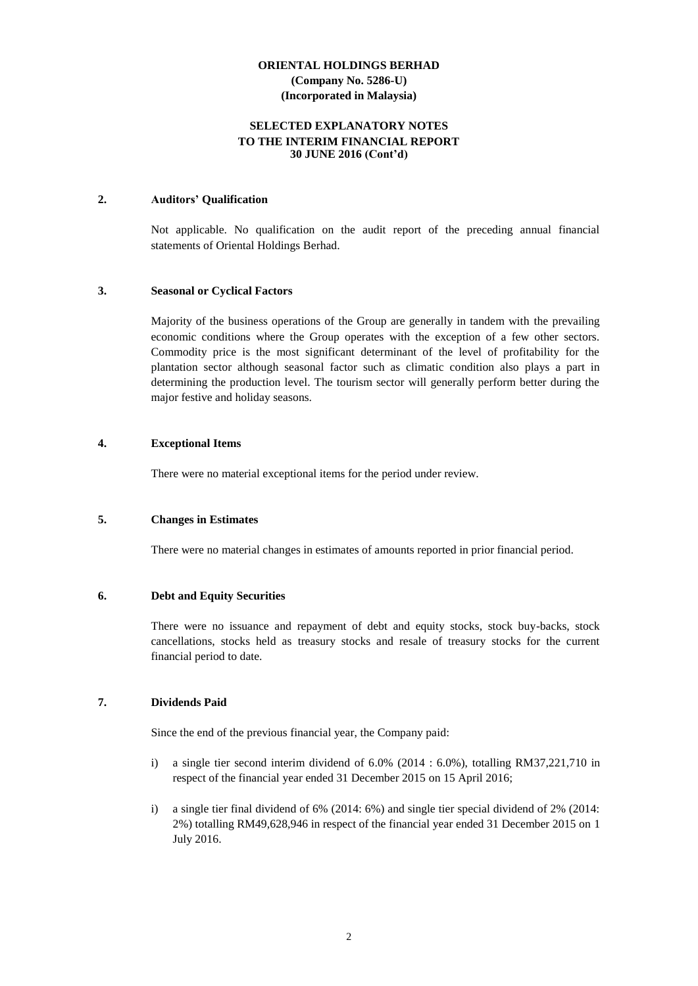#### **SELECTED EXPLANATORY NOTES TO THE INTERIM FINANCIAL REPORT 30 JUNE 2016 (Cont'd)**

#### **2. Auditors' Qualification**

Not applicable. No qualification on the audit report of the preceding annual financial statements of Oriental Holdings Berhad.

#### **3. Seasonal or Cyclical Factors**

Majority of the business operations of the Group are generally in tandem with the prevailing economic conditions where the Group operates with the exception of a few other sectors. Commodity price is the most significant determinant of the level of profitability for the plantation sector although seasonal factor such as climatic condition also plays a part in determining the production level. The tourism sector will generally perform better during the major festive and holiday seasons.

#### **4. Exceptional Items**

There were no material exceptional items for the period under review.

#### **5. Changes in Estimates**

There were no material changes in estimates of amounts reported in prior financial period.

#### **6. Debt and Equity Securities**

There were no issuance and repayment of debt and equity stocks, stock buy-backs, stock cancellations, stocks held as treasury stocks and resale of treasury stocks for the current financial period to date.

#### **7. Dividends Paid**

Since the end of the previous financial year, the Company paid:

- i) a single tier second interim dividend of 6.0% (2014 : 6.0%), totalling RM37,221,710 in respect of the financial year ended 31 December 2015 on 15 April 2016;
- i) a single tier final dividend of 6% (2014: 6%) and single tier special dividend of 2% (2014: 2%) totalling RM49,628,946 in respect of the financial year ended 31 December 2015 on 1 July 2016.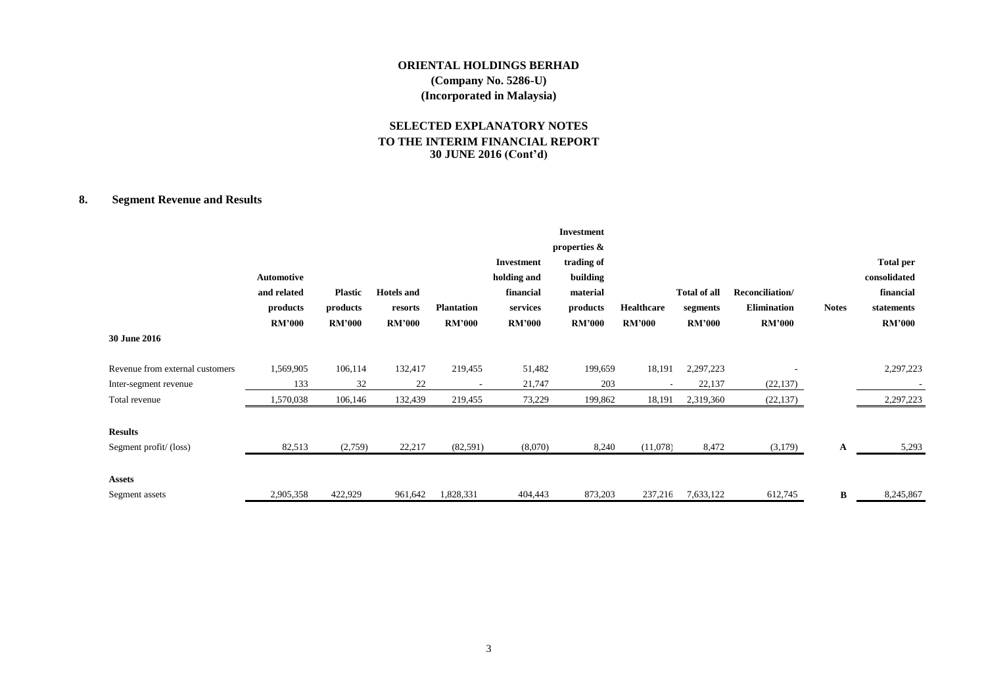#### **SELECTED EXPLANATORY NOTES TO THE INTERIM FINANCIAL REPORT 30 JUNE 2016 (Cont'd)**

# **8. Segment Revenue and Results**

| 30 June 2016                            | <b>Automotive</b><br>and related<br>products<br><b>RM'000</b> | <b>Plastic</b><br>products<br><b>RM'000</b> | <b>Hotels</b> and<br>resorts<br><b>RM'000</b> | <b>Plantation</b><br><b>RM'000</b> | <b>Investment</b><br>holding and<br>financial<br>services<br><b>RM'000</b> | <b>Investment</b><br>properties $\&$<br>trading of<br>building<br>material<br>products<br><b>RM'000</b> | Healthcare<br><b>RM'000</b> | <b>Total of all</b><br>segments<br><b>RM'000</b> | Reconciliation/<br><b>Elimination</b><br><b>RM'000</b> | <b>Notes</b> | <b>Total per</b><br>consolidated<br>financial<br>statements<br><b>RM'000</b> |
|-----------------------------------------|---------------------------------------------------------------|---------------------------------------------|-----------------------------------------------|------------------------------------|----------------------------------------------------------------------------|---------------------------------------------------------------------------------------------------------|-----------------------------|--------------------------------------------------|--------------------------------------------------------|--------------|------------------------------------------------------------------------------|
| Revenue from external customers         | 1,569,905                                                     | 106,114                                     | 132,417                                       | 219,455                            | 51,482                                                                     | 199,659                                                                                                 | 18,191                      | 2,297,223                                        |                                                        |              | 2,297,223                                                                    |
| Inter-segment revenue                   | 133                                                           | 32                                          | 22                                            |                                    | 21,747                                                                     | 203                                                                                                     |                             | 22,137                                           | (22, 137)                                              |              |                                                                              |
| Total revenue                           | 1,570,038                                                     | 106,146                                     | 132,439                                       | 219,455                            | 73,229                                                                     | 199,862                                                                                                 | 18,191                      | 2,319,360                                        | (22, 137)                                              |              | 2,297,223                                                                    |
| <b>Results</b><br>Segment profit/(loss) | 82,513                                                        | (2,759)                                     | 22,217                                        | (82, 591)                          | (8,070)                                                                    | 8,240                                                                                                   | (11,078)                    | 8,472                                            | (3,179)                                                | A            | 5,293                                                                        |
| Assets<br>Segment assets                | 2,905,358                                                     | 422,929                                     | 961,642                                       | 1,828,331                          | 404,443                                                                    | 873,203                                                                                                 | 237,216                     | 7,633,122                                        | 612,745                                                | В            | 8,245,867                                                                    |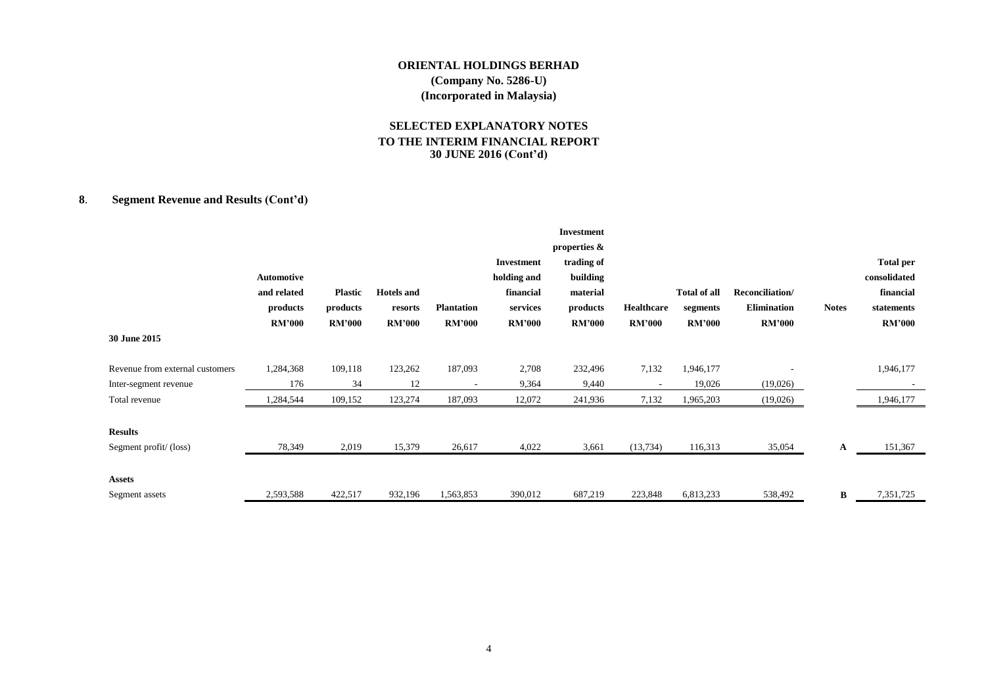#### **SELECTED EXPLANATORY NOTES TO THE INTERIM FINANCIAL REPORT 30 JUNE 2016 (Cont'd)**

# **8**. **Segment Revenue and Results (Cont'd)**

| 30 June 2015                            | <b>Automotive</b><br>and related<br>products<br><b>RM'000</b> | <b>Plastic</b><br>products<br><b>RM'000</b> | <b>Hotels</b> and<br>resorts<br><b>RM'000</b> | <b>Plantation</b><br><b>RM'000</b> | Investment<br>holding and<br>financial<br>services<br><b>RM'000</b> | <b>Investment</b><br>properties &<br>trading of<br>building<br>material<br>products<br><b>RM'000</b> | Healthcare<br><b>RM'000</b> | <b>Total of all</b><br>segments<br><b>RM'000</b> | Reconciliation/<br><b>Elimination</b><br><b>RM'000</b> | <b>Notes</b> | <b>Total per</b><br>consolidated<br>financial<br>statements<br><b>RM'000</b> |
|-----------------------------------------|---------------------------------------------------------------|---------------------------------------------|-----------------------------------------------|------------------------------------|---------------------------------------------------------------------|------------------------------------------------------------------------------------------------------|-----------------------------|--------------------------------------------------|--------------------------------------------------------|--------------|------------------------------------------------------------------------------|
|                                         |                                                               |                                             |                                               |                                    |                                                                     |                                                                                                      |                             |                                                  |                                                        |              |                                                                              |
| Revenue from external customers         | 1,284,368                                                     | 109,118                                     | 123,262                                       | 187,093                            | 2,708                                                               | 232,496                                                                                              | 7,132                       | 1,946,177                                        |                                                        |              | 1,946,177                                                                    |
| Inter-segment revenue                   | 176                                                           | 34                                          | 12                                            |                                    | 9,364                                                               | 9,440                                                                                                | $\overline{\phantom{a}}$    | 19,026                                           | (19,026)                                               |              |                                                                              |
| Total revenue                           | 1,284,544                                                     | 109,152                                     | 123,274                                       | 187,093                            | 12,072                                                              | 241,936                                                                                              | 7,132                       | 1,965,203                                        | (19,026)                                               |              | 1,946,177                                                                    |
| <b>Results</b><br>Segment profit/(loss) | 78,349                                                        | 2,019                                       | 15,379                                        | 26,617                             | 4,022                                                               | 3,661                                                                                                | (13, 734)                   | 116,313                                          | 35,054                                                 | A            | 151,367                                                                      |
| <b>Assets</b>                           |                                                               |                                             |                                               |                                    |                                                                     |                                                                                                      |                             |                                                  |                                                        |              |                                                                              |
| Segment assets                          | 2,593,588                                                     | 422,517                                     | 932,196                                       | 1,563,853                          | 390,012                                                             | 687,219                                                                                              | 223,848                     | 6,813,233                                        | 538,492                                                | B            | 7,351,725                                                                    |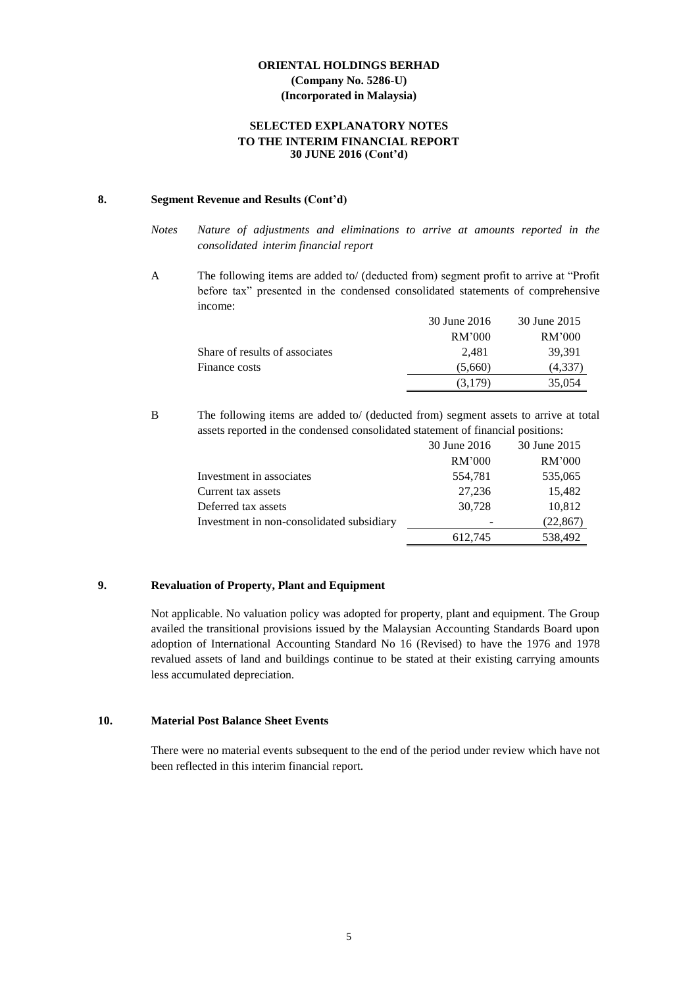#### **SELECTED EXPLANATORY NOTES TO THE INTERIM FINANCIAL REPORT 30 JUNE 2016 (Cont'd)**

#### **8. Segment Revenue and Results (Cont'd)**

- *Notes Nature of adjustments and eliminations to arrive at amounts reported in the consolidated interim financial report*
- A The following items are added to/ (deducted from) segment profit to arrive at "Profit before tax" presented in the condensed consolidated statements of comprehensive income:

|                                | 30 June 2016 | 30 June 2015 |
|--------------------------------|--------------|--------------|
|                                | RM'000       | RM'000       |
| Share of results of associates | 2.481        | 39,391       |
| Finance costs                  | (5,660)      | (4,337)      |
|                                | (3.179)      | 35,054       |

B The following items are added to/ (deducted from) segment assets to arrive at total assets reported in the condensed consolidated statement of financial positions:

|                                           | 30 June 2016 | 30 June 2015 |
|-------------------------------------------|--------------|--------------|
|                                           | RM'000       | RM'000       |
| Investment in associates                  | 554,781      | 535,065      |
| Current tax assets                        | 27,236       | 15,482       |
| Deferred tax assets                       | 30,728       | 10,812       |
| Investment in non-consolidated subsidiary |              | (22, 867)    |
|                                           | 612,745      | 538,492      |

#### **9. Revaluation of Property, Plant and Equipment**

Not applicable. No valuation policy was adopted for property, plant and equipment. The Group availed the transitional provisions issued by the Malaysian Accounting Standards Board upon adoption of International Accounting Standard No 16 (Revised) to have the 1976 and 1978 revalued assets of land and buildings continue to be stated at their existing carrying amounts less accumulated depreciation.

#### **10. Material Post Balance Sheet Events**

There were no material events subsequent to the end of the period under review which have not been reflected in this interim financial report.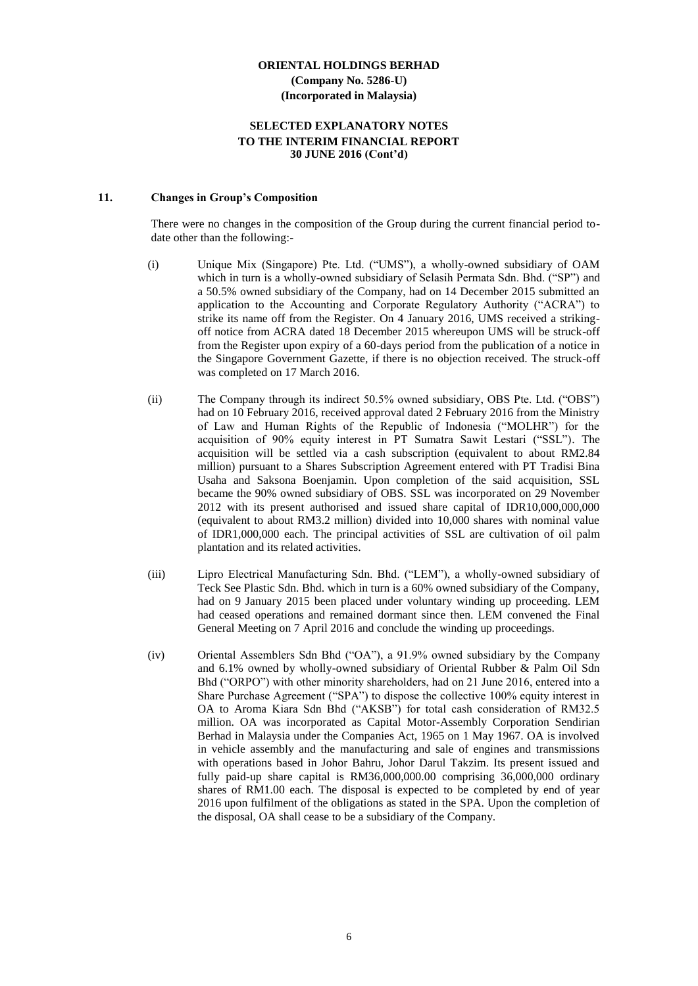#### **SELECTED EXPLANATORY NOTES TO THE INTERIM FINANCIAL REPORT 30 JUNE 2016 (Cont'd)**

#### **11. Changes in Group's Composition**

There were no changes in the composition of the Group during the current financial period todate other than the following:-

- (i) Unique Mix (Singapore) Pte. Ltd. ("UMS"), a wholly-owned subsidiary of OAM which in turn is a wholly-owned subsidiary of Selasih Permata Sdn. Bhd. ("SP") and a 50.5% owned subsidiary of the Company, had on 14 December 2015 submitted an application to the Accounting and Corporate Regulatory Authority ("ACRA") to strike its name off from the Register. On 4 January 2016, UMS received a strikingoff notice from ACRA dated 18 December 2015 whereupon UMS will be struck-off from the Register upon expiry of a 60-days period from the publication of a notice in the Singapore Government Gazette, if there is no objection received. The struck-off was completed on 17 March 2016.
- (ii) The Company through its indirect 50.5% owned subsidiary, OBS Pte. Ltd. ("OBS") had on 10 February 2016, received approval dated 2 February 2016 from the Ministry of Law and Human Rights of the Republic of Indonesia ("MOLHR") for the acquisition of 90% equity interest in PT Sumatra Sawit Lestari ("SSL"). The acquisition will be settled via a cash subscription (equivalent to about RM2.84 million) pursuant to a Shares Subscription Agreement entered with PT Tradisi Bina Usaha and Saksona Boenjamin. Upon completion of the said acquisition, SSL became the 90% owned subsidiary of OBS. SSL was incorporated on 29 November 2012 with its present authorised and issued share capital of IDR10,000,000,000 (equivalent to about RM3.2 million) divided into 10,000 shares with nominal value of IDR1,000,000 each. The principal activities of SSL are cultivation of oil palm plantation and its related activities.
- (iii) Lipro Electrical Manufacturing Sdn. Bhd. ("LEM"), a wholly-owned subsidiary of Teck See Plastic Sdn. Bhd. which in turn is a 60% owned subsidiary of the Company, had on 9 January 2015 been placed under voluntary winding up proceeding. LEM had ceased operations and remained dormant since then. LEM convened the Final General Meeting on 7 April 2016 and conclude the winding up proceedings.
- (iv) Oriental Assemblers Sdn Bhd ("OA"), a 91.9% owned subsidiary by the Company and 6.1% owned by wholly-owned subsidiary of Oriental Rubber & Palm Oil Sdn Bhd ("ORPO") with other minority shareholders, had on 21 June 2016, entered into a Share Purchase Agreement ("SPA") to dispose the collective 100% equity interest in OA to Aroma Kiara Sdn Bhd ("AKSB") for total cash consideration of RM32.5 million. OA was incorporated as Capital Motor-Assembly Corporation Sendirian Berhad in Malaysia under the Companies Act, 1965 on 1 May 1967. OA is involved in vehicle assembly and the manufacturing and sale of engines and transmissions with operations based in Johor Bahru, Johor Darul Takzim. Its present issued and fully paid-up share capital is RM36,000,000.00 comprising 36,000,000 ordinary shares of RM1.00 each. The disposal is expected to be completed by end of year 2016 upon fulfilment of the obligations as stated in the SPA. Upon the completion of the disposal, OA shall cease to be a subsidiary of the Company.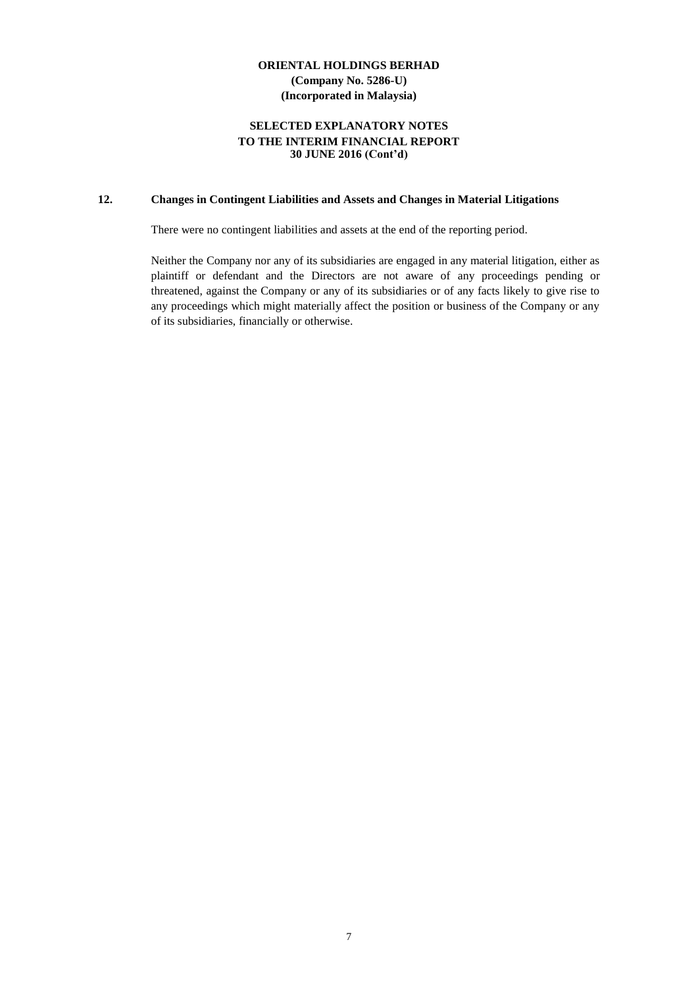#### **SELECTED EXPLANATORY NOTES TO THE INTERIM FINANCIAL REPORT 30 JUNE 2016 (Cont'd)**

# **12. Changes in Contingent Liabilities and Assets and Changes in Material Litigations**

There were no contingent liabilities and assets at the end of the reporting period.

Neither the Company nor any of its subsidiaries are engaged in any material litigation, either as plaintiff or defendant and the Directors are not aware of any proceedings pending or threatened, against the Company or any of its subsidiaries or of any facts likely to give rise to any proceedings which might materially affect the position or business of the Company or any of its subsidiaries, financially or otherwise.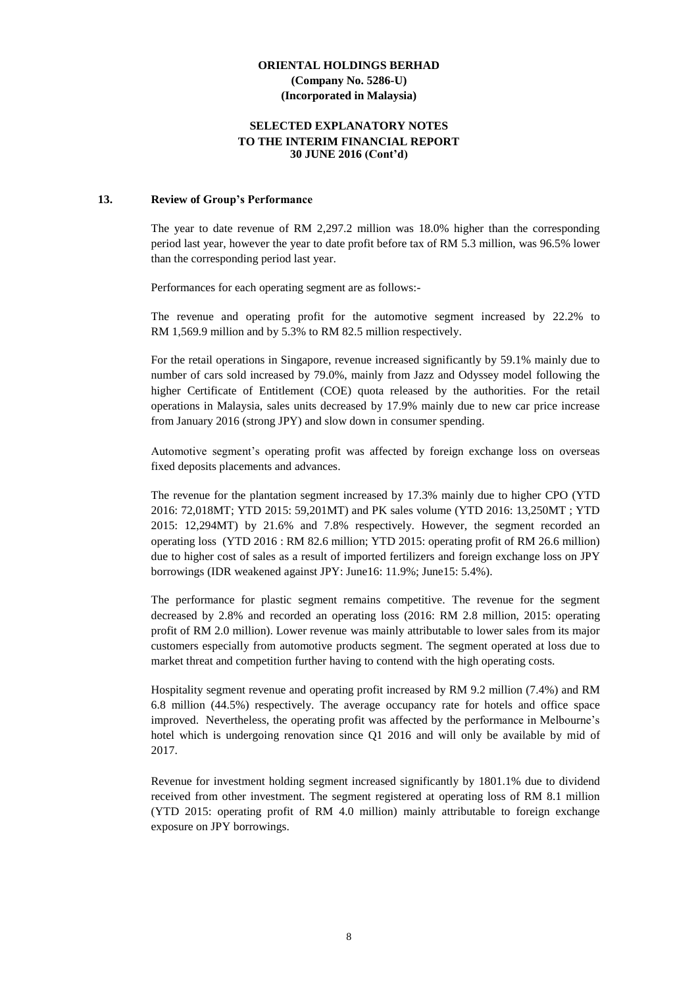#### **SELECTED EXPLANATORY NOTES TO THE INTERIM FINANCIAL REPORT 30 JUNE 2016 (Cont'd)**

#### **13. Review of Group's Performance**

The year to date revenue of RM 2,297.2 million was 18.0% higher than the corresponding period last year, however the year to date profit before tax of RM 5.3 million, was 96.5% lower than the corresponding period last year.

Performances for each operating segment are as follows:-

The revenue and operating profit for the automotive segment increased by 22.2% to RM 1,569.9 million and by 5.3% to RM 82.5 million respectively.

For the retail operations in Singapore, revenue increased significantly by 59.1% mainly due to number of cars sold increased by 79.0%, mainly from Jazz and Odyssey model following the higher Certificate of Entitlement (COE) quota released by the authorities. For the retail operations in Malaysia, sales units decreased by 17.9% mainly due to new car price increase from January 2016 (strong JPY) and slow down in consumer spending.

Automotive segment's operating profit was affected by foreign exchange loss on overseas fixed deposits placements and advances.

The revenue for the plantation segment increased by 17.3% mainly due to higher CPO (YTD 2016: 72,018MT; YTD 2015: 59,201MT) and PK sales volume (YTD 2016: 13,250MT ; YTD 2015: 12,294MT) by 21.6% and 7.8% respectively. However, the segment recorded an operating loss (YTD 2016 : RM 82.6 million; YTD 2015: operating profit of RM 26.6 million) due to higher cost of sales as a result of imported fertilizers and foreign exchange loss on JPY borrowings (IDR weakened against JPY: June16: 11.9%; June15: 5.4%).

The performance for plastic segment remains competitive. The revenue for the segment decreased by 2.8% and recorded an operating loss (2016: RM 2.8 million, 2015: operating profit of RM 2.0 million). Lower revenue was mainly attributable to lower sales from its major customers especially from automotive products segment. The segment operated at loss due to market threat and competition further having to contend with the high operating costs.

Hospitality segment revenue and operating profit increased by RM 9.2 million (7.4%) and RM 6.8 million (44.5%) respectively. The average occupancy rate for hotels and office space improved. Nevertheless, the operating profit was affected by the performance in Melbourne's hotel which is undergoing renovation since Q1 2016 and will only be available by mid of 2017.

Revenue for investment holding segment increased significantly by 1801.1% due to dividend received from other investment. The segment registered at operating loss of RM 8.1 million (YTD 2015: operating profit of RM 4.0 million) mainly attributable to foreign exchange exposure on JPY borrowings.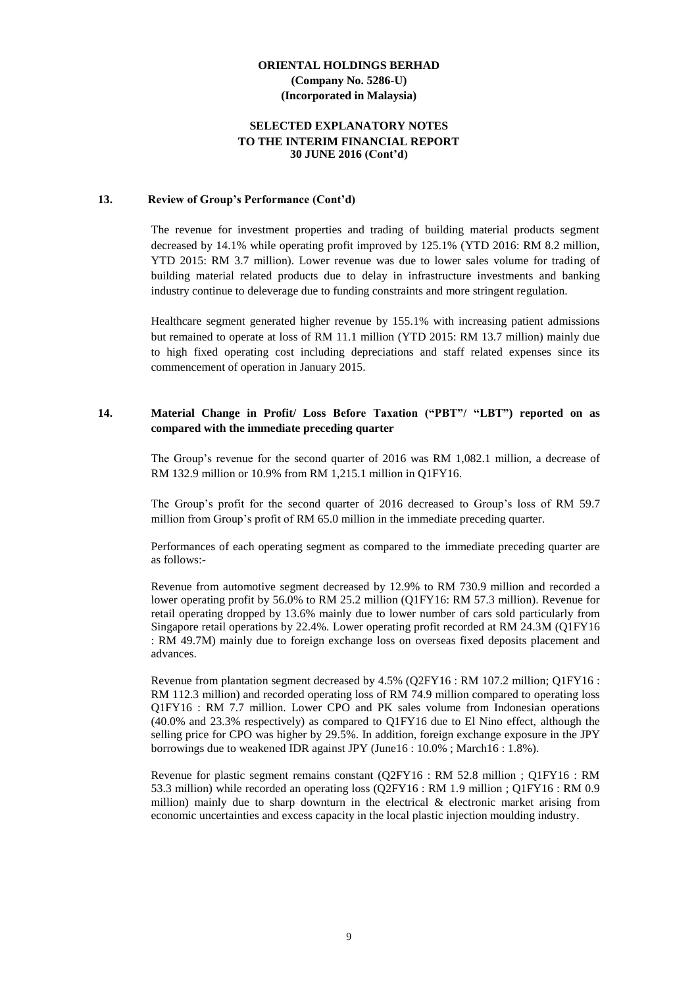#### **SELECTED EXPLANATORY NOTES TO THE INTERIM FINANCIAL REPORT 30 JUNE 2016 (Cont'd)**

#### **13. Review of Group's Performance (Cont'd)**

The revenue for investment properties and trading of building material products segment decreased by 14.1% while operating profit improved by 125.1% (YTD 2016: RM 8.2 million, YTD 2015: RM 3.7 million). Lower revenue was due to lower sales volume for trading of building material related products due to delay in infrastructure investments and banking industry continue to deleverage due to funding constraints and more stringent regulation.

Healthcare segment generated higher revenue by 155.1% with increasing patient admissions but remained to operate at loss of RM 11.1 million (YTD 2015: RM 13.7 million) mainly due to high fixed operating cost including depreciations and staff related expenses since its commencement of operation in January 2015.

#### **14. Material Change in Profit/ Loss Before Taxation ("PBT"/ "LBT") reported on as compared with the immediate preceding quarter**

The Group's revenue for the second quarter of 2016 was RM 1,082.1 million, a decrease of RM 132.9 million or 10.9% from RM 1,215.1 million in Q1FY16.

The Group's profit for the second quarter of 2016 decreased to Group's loss of RM 59.7 million from Group's profit of RM 65.0 million in the immediate preceding quarter.

Performances of each operating segment as compared to the immediate preceding quarter are as follows:-

Revenue from automotive segment decreased by 12.9% to RM 730.9 million and recorded a lower operating profit by 56.0% to RM 25.2 million (Q1FY16: RM 57.3 million). Revenue for retail operating dropped by 13.6% mainly due to lower number of cars sold particularly from Singapore retail operations by 22.4%. Lower operating profit recorded at RM 24.3M (Q1FY16 : RM 49.7M) mainly due to foreign exchange loss on overseas fixed deposits placement and advances.

Revenue from plantation segment decreased by 4.5% (Q2FY16 : RM 107.2 million; Q1FY16 : RM 112.3 million) and recorded operating loss of RM 74.9 million compared to operating loss Q1FY16 : RM 7.7 million. Lower CPO and PK sales volume from Indonesian operations (40.0% and 23.3% respectively) as compared to Q1FY16 due to El Nino effect, although the selling price for CPO was higher by 29.5%. In addition, foreign exchange exposure in the JPY borrowings due to weakened IDR against JPY (June16 : 10.0% ; March16 : 1.8%).

Revenue for plastic segment remains constant (Q2FY16 : RM 52.8 million ; Q1FY16 : RM 53.3 million) while recorded an operating loss (Q2FY16 : RM 1.9 million ; Q1FY16 : RM 0.9 million) mainly due to sharp downturn in the electrical  $\&$  electronic market arising from economic uncertainties and excess capacity in the local plastic injection moulding industry.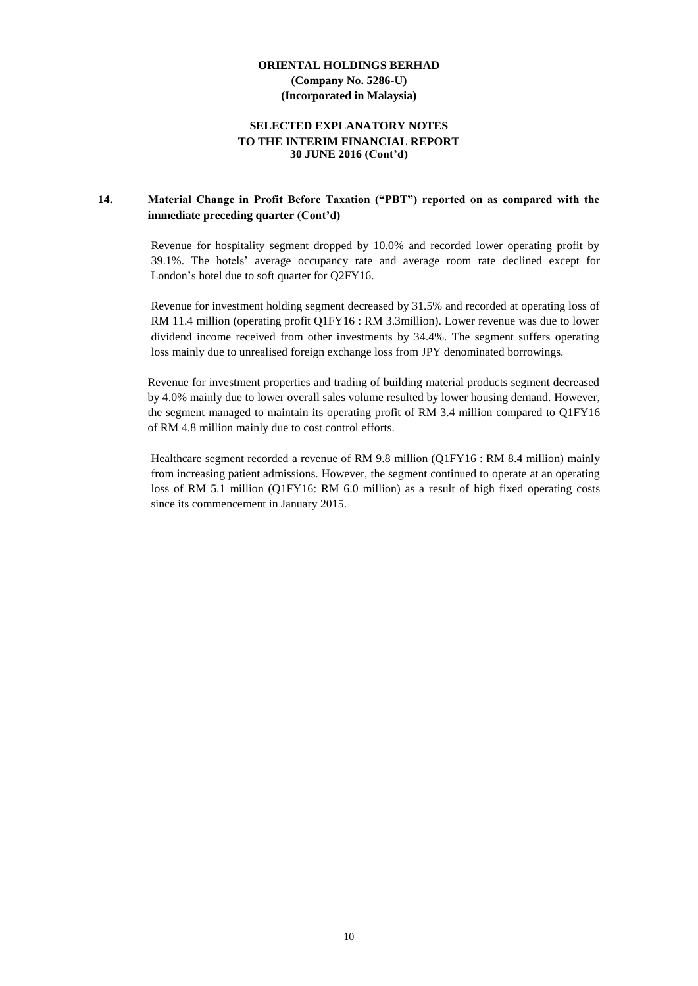#### **SELECTED EXPLANATORY NOTES TO THE INTERIM FINANCIAL REPORT 30 JUNE 2016 (Cont'd)**

## **14. Material Change in Profit Before Taxation ("PBT") reported on as compared with the immediate preceding quarter (Cont'd)**

Revenue for hospitality segment dropped by 10.0% and recorded lower operating profit by 39.1%. The hotels' average occupancy rate and average room rate declined except for London's hotel due to soft quarter for Q2FY16.

Revenue for investment holding segment decreased by 31.5% and recorded at operating loss of RM 11.4 million (operating profit Q1FY16 : RM 3.3million). Lower revenue was due to lower dividend income received from other investments by 34.4%. The segment suffers operating loss mainly due to unrealised foreign exchange loss from JPY denominated borrowings.

Revenue for investment properties and trading of building material products segment decreased by 4.0% mainly due to lower overall sales volume resulted by lower housing demand. However, the segment managed to maintain its operating profit of RM 3.4 million compared to Q1FY16 of RM 4.8 million mainly due to cost control efforts.

Healthcare segment recorded a revenue of RM 9.8 million (Q1FY16 : RM 8.4 million) mainly from increasing patient admissions. However, the segment continued to operate at an operating loss of RM 5.1 million (Q1FY16: RM 6.0 million) as a result of high fixed operating costs since its commencement in January 2015.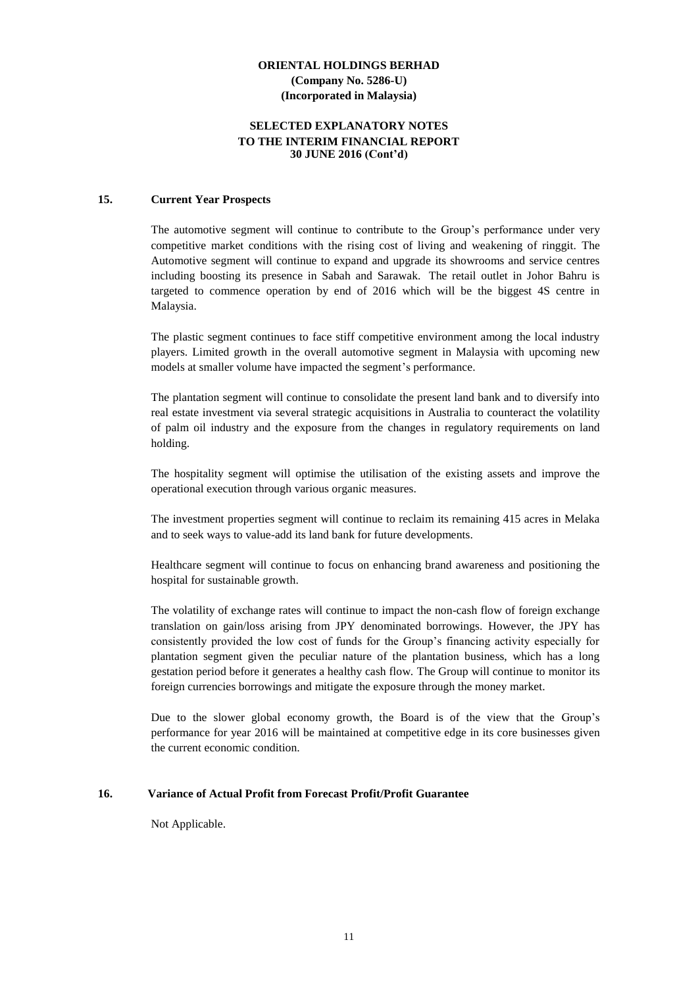#### **SELECTED EXPLANATORY NOTES TO THE INTERIM FINANCIAL REPORT 30 JUNE 2016 (Cont'd)**

#### **15. Current Year Prospects**

The automotive segment will continue to contribute to the Group's performance under very competitive market conditions with the rising cost of living and weakening of ringgit. The Automotive segment will continue to expand and upgrade its showrooms and service centres including boosting its presence in Sabah and Sarawak. The retail outlet in Johor Bahru is targeted to commence operation by end of 2016 which will be the biggest 4S centre in Malaysia.

The plastic segment continues to face stiff competitive environment among the local industry players. Limited growth in the overall automotive segment in Malaysia with upcoming new models at smaller volume have impacted the segment's performance.

The plantation segment will continue to consolidate the present land bank and to diversify into real estate investment via several strategic acquisitions in Australia to counteract the volatility of palm oil industry and the exposure from the changes in regulatory requirements on land holding.

The hospitality segment will optimise the utilisation of the existing assets and improve the operational execution through various organic measures.

The investment properties segment will continue to reclaim its remaining 415 acres in Melaka and to seek ways to value-add its land bank for future developments.

Healthcare segment will continue to focus on enhancing brand awareness and positioning the hospital for sustainable growth.

The volatility of exchange rates will continue to impact the non-cash flow of foreign exchange translation on gain/loss arising from JPY denominated borrowings. However, the JPY has consistently provided the low cost of funds for the Group's financing activity especially for plantation segment given the peculiar nature of the plantation business, which has a long gestation period before it generates a healthy cash flow. The Group will continue to monitor its foreign currencies borrowings and mitigate the exposure through the money market.

Due to the slower global economy growth, the Board is of the view that the Group's performance for year 2016 will be maintained at competitive edge in its core businesses given the current economic condition.

#### **16. Variance of Actual Profit from Forecast Profit/Profit Guarantee**

Not Applicable.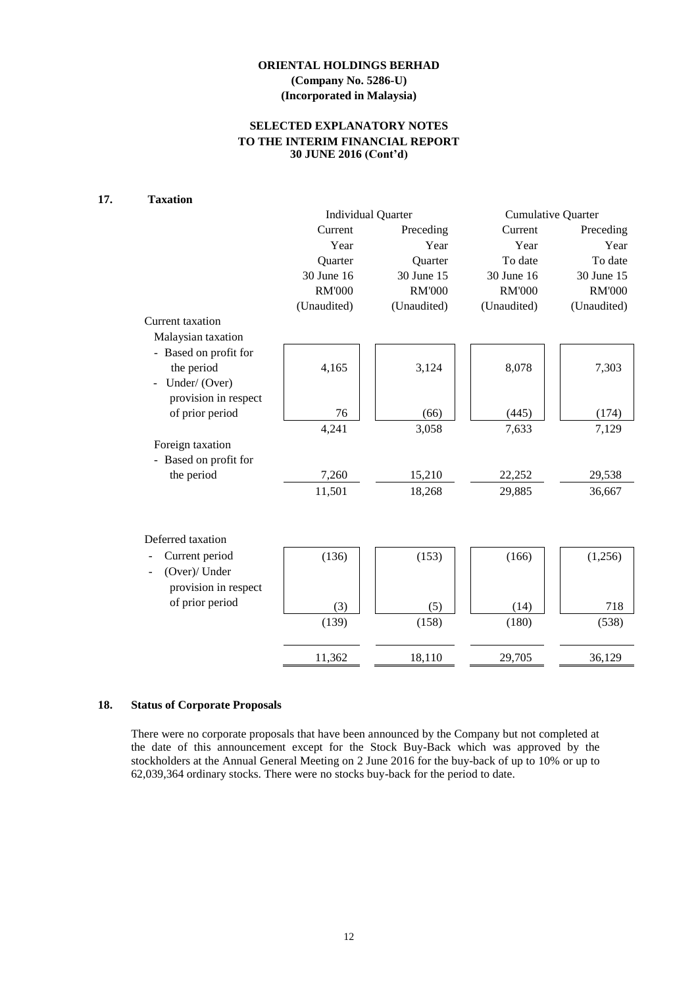## **SELECTED EXPLANATORY NOTES TO THE INTERIM FINANCIAL REPORT 30 JUNE 2016 (Cont'd)**

## **17. Taxation**

|                       |               | <b>Individual Quarter</b> | <b>Cumulative Quarter</b> |               |  |
|-----------------------|---------------|---------------------------|---------------------------|---------------|--|
|                       | Current       | Preceding                 | Current                   | Preceding     |  |
|                       | Year          | Year                      | Year                      | Year          |  |
|                       | Quarter       | Quarter                   | To date                   | To date       |  |
|                       | 30 June 16    | 30 June 15                | 30 June 16                | 30 June 15    |  |
|                       | <b>RM'000</b> | <b>RM'000</b>             | <b>RM'000</b>             | <b>RM'000</b> |  |
|                       | (Unaudited)   | (Unaudited)               | (Unaudited)               | (Unaudited)   |  |
| Current taxation      |               |                           |                           |               |  |
| Malaysian taxation    |               |                           |                           |               |  |
| - Based on profit for |               |                           |                           |               |  |
| the period            | 4,165         | 3,124                     | 8,078                     | 7,303         |  |
| Under/(Over)          |               |                           |                           |               |  |
| provision in respect  |               |                           |                           |               |  |
| of prior period       | 76            | (66)                      | (445)                     | (174)         |  |
|                       | 4,241         | 3,058                     | 7,633                     | 7,129         |  |
| Foreign taxation      |               |                           |                           |               |  |
| - Based on profit for |               |                           |                           |               |  |
| the period            | 7,260         | 15,210                    | 22,252                    | 29,538        |  |
|                       | 11,501        | 18,268                    | 29,885                    | 36,667        |  |
|                       |               |                           |                           |               |  |
| Deferred taxation     |               |                           |                           |               |  |
|                       |               |                           |                           |               |  |
| Current period        | (136)         | (153)                     | (166)                     | (1,256)       |  |
| (Over)/ Under         |               |                           |                           |               |  |
| provision in respect  |               |                           |                           |               |  |
| of prior period       | (3)           | (5)                       | (14)                      | 718           |  |
|                       | (139)         | (158)                     | (180)                     | (538)         |  |
|                       |               |                           |                           |               |  |
|                       | 11,362        | 18,110                    | 29,705                    | 36,129        |  |

#### **18. Status of Corporate Proposals**

There were no corporate proposals that have been announced by the Company but not completed at the date of this announcement except for the Stock Buy-Back which was approved by the stockholders at the Annual General Meeting on 2 June 2016 for the buy-back of up to 10% or up to 62,039,364 ordinary stocks. There were no stocks buy-back for the period to date.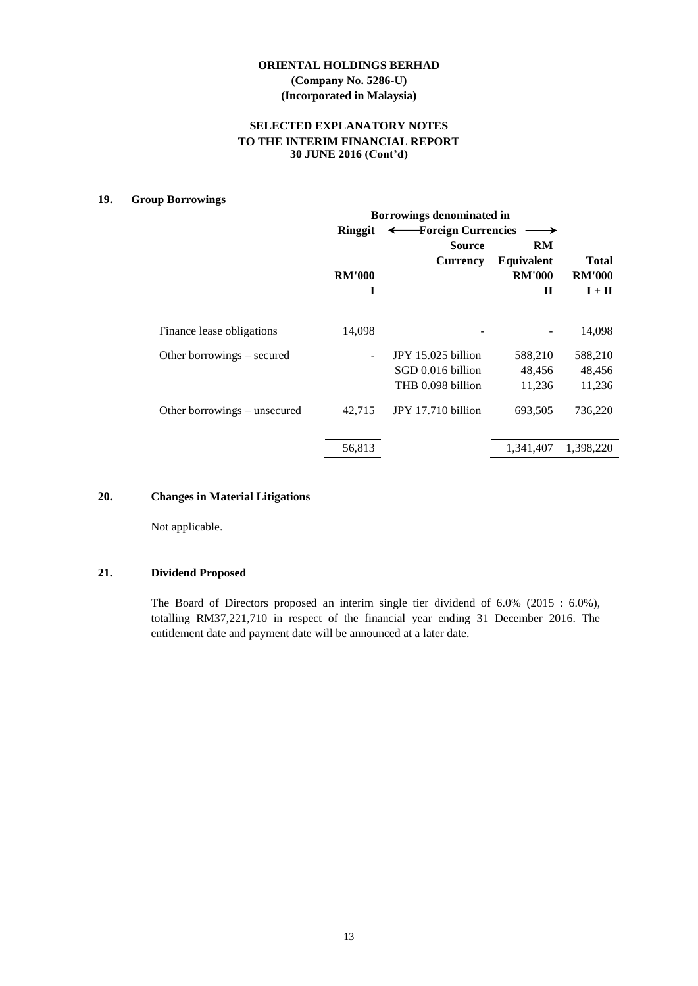#### **SELECTED EXPLANATORY NOTES TO THE INTERIM FINANCIAL REPORT 30 JUNE 2016 (Cont'd)**

#### **19. Group Borrowings**

|                              | <b>Borrowings denominated in</b> |                      |                   |               |  |  |  |
|------------------------------|----------------------------------|----------------------|-------------------|---------------|--|--|--|
|                              | Ringgit                          | ← Foreign Currencies |                   |               |  |  |  |
|                              |                                  | <b>Source</b>        | RM                |               |  |  |  |
|                              |                                  | Currency             | <b>Equivalent</b> | <b>Total</b>  |  |  |  |
|                              | <b>RM'000</b>                    |                      | <b>RM'000</b>     | <b>RM'000</b> |  |  |  |
|                              | I                                |                      | $\mathbf H$       | $I + II$      |  |  |  |
| Finance lease obligations    | 14,098                           |                      |                   | 14,098        |  |  |  |
| Other borrowings – secured   |                                  | JPY 15.025 billion   | 588,210           | 588,210       |  |  |  |
|                              |                                  | SGD 0.016 billion    | 48,456            | 48,456        |  |  |  |
|                              |                                  | THB 0.098 billion    | 11,236            | 11,236        |  |  |  |
| Other borrowings – unsecured | 42.715                           | JPY 17.710 billion   | 693,505           | 736,220       |  |  |  |
|                              | 56,813                           |                      | 1,341,407         | 1,398,220     |  |  |  |

#### **20. Changes in Material Litigations**

Not applicable.

#### **21. Dividend Proposed**

The Board of Directors proposed an interim single tier dividend of 6.0% (2015 : 6.0%), totalling RM37,221,710 in respect of the financial year ending 31 December 2016. The entitlement date and payment date will be announced at a later date.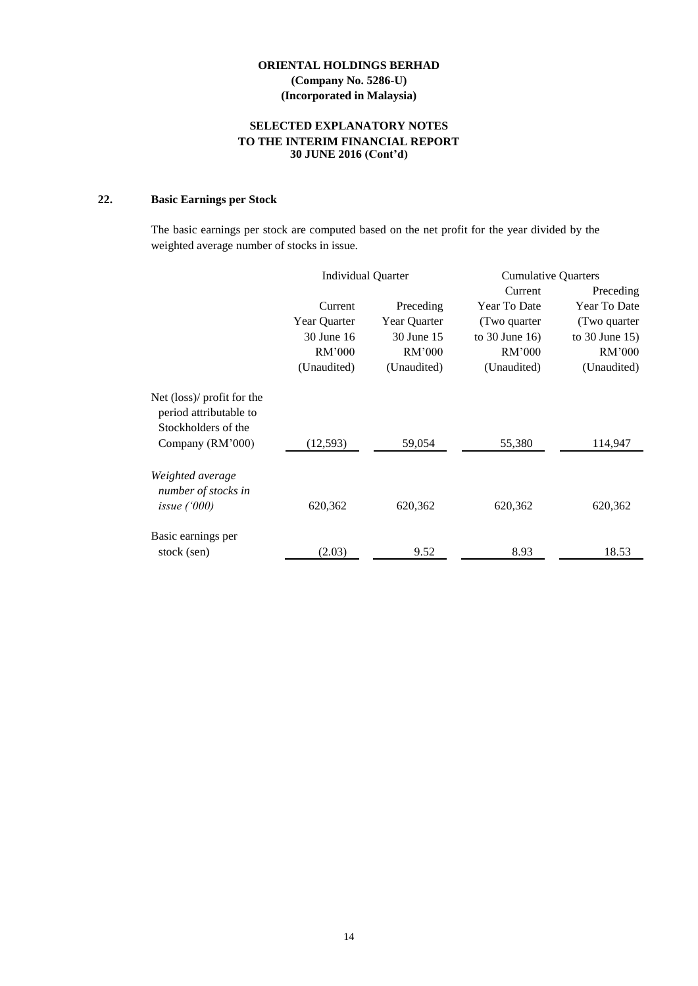### **SELECTED EXPLANATORY NOTES TO THE INTERIM FINANCIAL REPORT 30 JUNE 2016 (Cont'd)**

# **22. Basic Earnings per Stock**

The basic earnings per stock are computed based on the net profit for the year divided by the weighted average number of stocks in issue.

|                                                                                     | <b>Individual Quarter</b> |              | <b>Cumulative Quarters</b> |                     |
|-------------------------------------------------------------------------------------|---------------------------|--------------|----------------------------|---------------------|
|                                                                                     |                           |              | Current                    | Preceding           |
|                                                                                     | Current                   | Preceding    | Year To Date               | Year To Date        |
|                                                                                     | Year Quarter              | Year Quarter | (Two quarter               | (Two quarter)       |
|                                                                                     | 30 June 16                | 30 June 15   | to $30$ June $16$ )        | to $30$ June $15$ ) |
|                                                                                     | RM'000                    | RM'000       | RM'000                     | RM'000              |
|                                                                                     | (Unaudited)               | (Unaudited)  | (Unaudited)                | (Unaudited)         |
| Net $(\text{loss})$ profit for the<br>period attributable to<br>Stockholders of the |                           |              |                            |                     |
| Company (RM'000)                                                                    | (12, 593)                 | 59,054       | 55,380                     | 114,947             |
| Weighted average<br>number of stocks in<br>issue $(000)$                            | 620,362                   | 620,362      | 620,362                    | 620,362             |
| Basic earnings per<br>stock (sen)                                                   | (2.03)                    | 9.52         | 8.93                       | 18.53               |